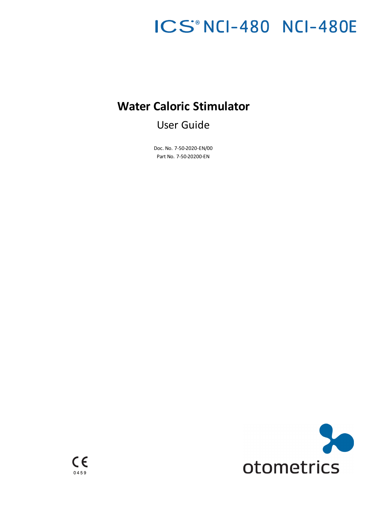# ICS®NCI-480 NCI-480E

## **Water Caloric Stimulator**

User Guide

Doc. No. 7-50-2020-EN/00 Part No. 7-50-20200-EN

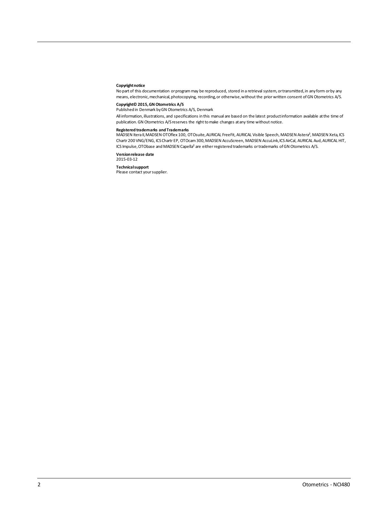#### **Copyright notice**

Nopart of this documentation orprogrammay be reproduced, stored in a retrieval system, ortransmitted,in anyform orby any means, electronic, mechanical, photocopying, recording, or otherwise, without the prior written consent of GN Otometrics A/S.

**Copyright© 2015,GN Otometrics A/S** Publishedin Denmark byGN Otometrics A/S, Denmark

All information, illustrations, and specifications in this manual are based on the latest productinformation available at the time of publication. GN Otometrics A/S reserves the right to make changes at any time without notice.

#### **Registeredtrademarks and Trademarks**

MADSEN Itera II,MADSEN OTOflex 100, OTOsuite,AURICAL FreeFit, AURICAL Visible Speech, MADSEN Astera², MADSEN Xeta,ICS Chartr 200 VNG/ENG, ICSChartr EP, OTOcam 300,MADSEN AccuScreen, MADSEN AccuLink,ICS AirCal, AURICAL Aud,AURICAL HIT, ICS Impulse, OTObase and MADSEN Capella<sup>2</sup> are either registered trademarks or trademarks of GN Otometrics A/S.

**Versionrelease date** 2015-03-12

**Technicalsupport**

Please contact your supplier.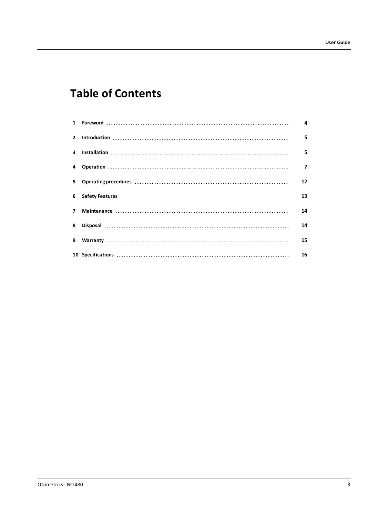## **Table of Contents**

| $\mathbf{2}$ |                                                                                                                                                                                                                                | 5              |
|--------------|--------------------------------------------------------------------------------------------------------------------------------------------------------------------------------------------------------------------------------|----------------|
|              |                                                                                                                                                                                                                                | 5              |
|              |                                                                                                                                                                                                                                | $\overline{7}$ |
| 5            | Operating procedures influences in the continuum contract of the contract of the contract of the contract of the contract of the contract of the contract of the contract of the contract of the contract of the contract of t | 12             |
|              |                                                                                                                                                                                                                                | 13             |
| 7            |                                                                                                                                                                                                                                | 14             |
| 8            |                                                                                                                                                                                                                                | 14             |
| 9            |                                                                                                                                                                                                                                | 15             |
|              |                                                                                                                                                                                                                                | 16             |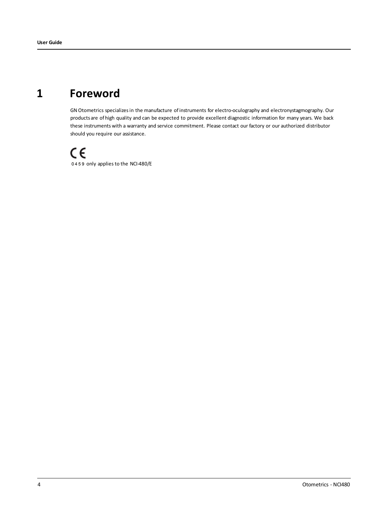## **1 Foreword**

<span id="page-3-0"></span>GN Otometrics specializes in the manufacture of instruments for electro-oculography and electronystagmography. Our products are of high quality and can be expected to provide excellent diagnostic information for many years. We back these instruments with a warranty and service commitment. Please contact our factory or our authorized distributor should you require our assistance.

 $C \in$ 0459 only applies to the NCI-480/E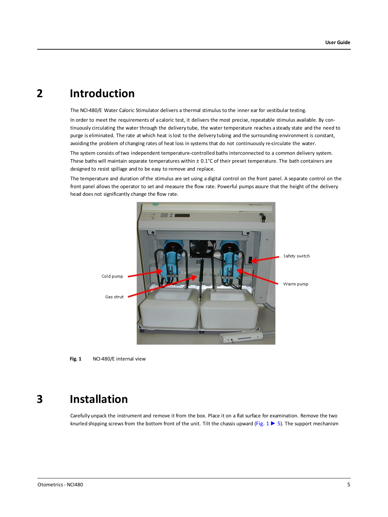## **2 Introduction**

<span id="page-4-0"></span>The NCI-480/E Water Caloric Stimulator delivers a thermal stimulus to the inner ear for vestibular testing.

In order to meet the requirements of a caloric test, it delivers the most precise, repeatable stimulus available. By continuously circulating the water through the delivery tube, the water temperature reaches a steady state and the need to purge is eliminated. The rate at which heat islost to the delivery tubing and the surrounding environment is constant, avoiding the problem of changing rates of heat loss in systems that do not continuously re-circulate the water.

The system consists oftwo independent temperature-controlled bathsinterconnected to a common delivery system. These baths will maintain separate temperatures within ± 0.1°C of their preset temperature. The bath containers are designed to resist spillage and to be easy to remove and replace.

The temperature and duration ofthe stimulus are set using a digital control on the front panel. A separate control on the front panel allows the operator to set and measure the flow rate. Powerful pumps assure that the height ofthe delivery head does not significantly change the flow rate.



**Fig. 1** NCI-480/E internal view

## **3 Installation**

<span id="page-4-2"></span><span id="page-4-1"></span>Carefully unpack the instrument and remove it from the box. Place it on a flat surface for examination. Remove the two knurled shipping screws from the bottom front of the unit. Tilt the chassis upward ([Fig.](#page-4-2) 1► 5). The support mechanism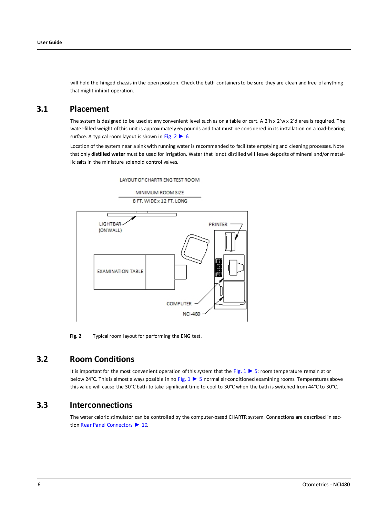will hold the hinged chassis in the open position. Check the bath containers to be sure they are clean and free of anything that might inhibit operation.

### **3.1 Placement**

The system is designed to be used at any convenient level such as on a table or cart. A 2'h x 2'w x 2'd area is required. The water-filled weight ofthis unit is approximately 65 pounds and that must be considered in its installation on a load-bearing surface. A typical room layout is shown in [Fig.](#page-5-0)  $2 \triangleright 6$ .

Location of the system near a sink with running water is recommended to facilitate emptying and cleaning processes. Note that only **distilled water** must be used for irrigation. Water that is not distilled will leave deposits ofmineral and/or metallic salts in the miniature solenoid control valves.

LAYOUT OF CHARTR ENG TEST ROOM

MINIMUM ROOM SIZE 8 FT. WIDE x 12 FT. LONG



<span id="page-5-0"></span>**Fig. 2** Typical room layout for performing the ENG test.

### **3.2 Room Conditions**

It is important for the most convenient operation ofthis system that the [Fig.](#page-4-2) 1 ► 5: room temperature remain at or below 24°C. Thisis almost always possible in no [Fig.](#page-4-2) 1 ► 5 normal air-conditioned examining rooms. Temperatures above this value will cause the 30°C bath to take significant time to cool to 30°C when the bath is switched from 44°C to 30°C.

### **3.3 Interconnections**

The water caloric stimulator can be controlled by the computer-based CHARTR system. Connections are described in section Rear Panel [Connectors](#page-9-0) ► 10.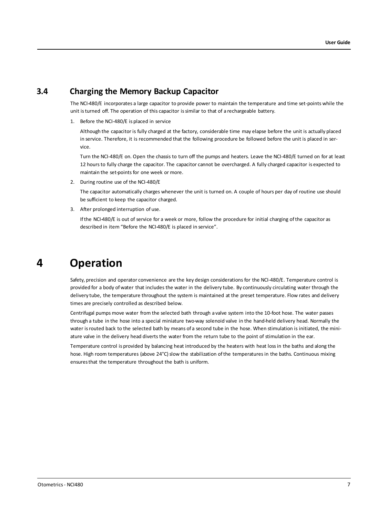### **3.4 Charging the Memory Backup Capacitor**

The NCI-480/E incorporates a large capacitor to provide power to maintain the temperature and time set-points while the unit isturned off. The operation of this capacitor issimilar to that of a rechargeable battery.

1. Before the NCI-480/E is placed in service

Although the capacitor is fully charged at the factory, considerable time may elapse before the unit is actually placed in service. Therefore, it is recommended that the following procedure be followed before the unit is placed in service.

Turn the NCI-480/E on. Open the chassis to turn off the pumps and heaters. Leave the NCI-480/E turned on for at least 12 hoursto fully charge the capacitor. The capacitor cannot be overcharged. A fully charged capacitor is expected to maintain the set-points for one week or more.

2. During routine use of the NCI-480/E

The capacitor automatically charges whenever the unit is turned on. A couple of hours per day of routine use should be sufficient to keep the capacitor charged.

3. After prolonged interruption of use.

<span id="page-6-0"></span>Ifthe NCI-480/E is out of service for a week or more, follow the procedure for initial charging ofthe capacitor as described in item "Before the NCI-480/E is placed in service".

### **4 Operation**

Safety, precision and operator convenience are the key design considerations for the NCI-480/E. Temperature control is provided for a body of water that includes the water in the delivery tube. By continuously circulating water through the delivery tube, the temperature throughout the system is maintained at the preset temperature. Flow rates and delivery times are precisely controlled as described below.

Centrifugal pumps move water from the selected bath through a valve system into the 10-foot hose. The water passes through a tube in the hose into a special miniature two-way solenoid valve in the hand-held delivery head. Normally the water is routed back to the selected bath by means of a second tube in the hose. When stimulation is initiated, the miniature valve in the delivery head diverts the water from the return tube to the point of stimulation in the ear.

Temperature control is provided by balancing heat introduced by the heaters with heat lossin the baths and along the hose. High room temperatures (above 24°C) slow the stabilization of the temperatures in the baths. Continuous mixing ensuresthat the temperature throughout the bath is uniform.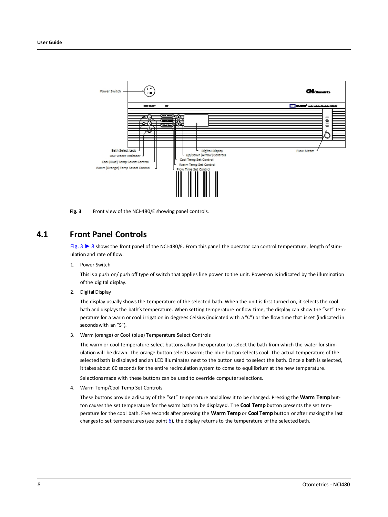

<span id="page-7-1"></span><span id="page-7-0"></span>**Fig. 3** Front view of the NCI-480/E showing panel controls.

### **4.1 Front Panel Controls**

[Fig.](#page-7-0) 3 ► 8 showsthe front panel of the NCI-480/E. From this panel the operator can control temperature, length ofstimulation and rate of flow.

1. Power Switch

Thisis a push on/ push off type of switch that applies line power to the unit. Power-on isindicated by the illumination ofthe digital display.

2. Digital Display

The display usually showsthe temperature of the selected bath. When the unit is first turned on, it selects the cool bath and displays the bath's temperature. When setting temperature or flow time, the display can show the "set" temperature for a warm or cool irrigation in degrees Celsius (indicated with a "C") or the flow time that is set (indicated in secondswith an "S").

3. Warm (orange) or Cool (blue) Temperature Select Controls

The warm or cool temperature select buttons allow the operator to select the bath from which the water for stimulation will be drawn. The orange button selects warm; the blue button selects cool. The actual temperature of the selected bath is displayed and an LED illuminates next to the button used to select the bath. Once a bath is selected, it takes about 60 seconds for the entire recirculation system to come to equilibrium at the new temperature.

Selections made with these buttons can be used to override computer selections.

4. Warm Temp/Cool Temp Set Controls

These buttons provide a display of the "set" temperature and allow it to be changed. Pressing the **Warm Temp** button causes the set temperature for the warm bath to be displayed. The **Cool Temp** button presents the set temperature for the cool bath. Five seconds after pressing the **Warm Temp** or **Cool Temp** button or after making the last changesto set temperatures(see point [6](#page-8-0)), the display returns to the temperature ofthe selected bath.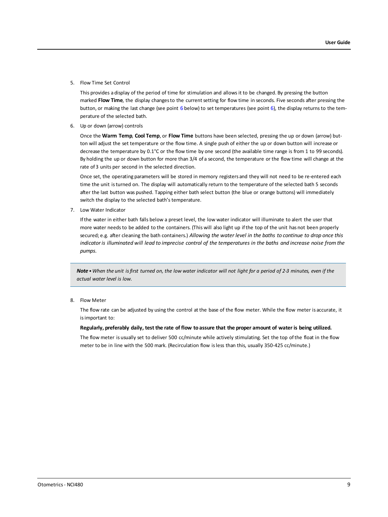5. Flow Time Set Control

This provides a display of the period of time for stimulation and allows it to be changed. By pressing the button marked **Flow Time**, the display changesto the currentsetting for flow time in seconds. Five seconds after pressing the button, or making the last change (see point [6](#page-8-0) below) to set temperatures (see point 6), the display returns to the temperature of the selected bath.

<span id="page-8-0"></span>6. Up or down (arrow) controls

Once the **Warm Temp**, **Cool Temp**, or **Flow Time** buttons have been selected, pressing the up or down (arrow) button will adjust the set temperature or the flow time. A single push of either the up or down button will increase or decrease the temperature by 0.1°C or the flow time by one second (the available time range is from 1 to 99 seconds). By holding the up or down button for more than 3/4 of a second, the temperature or the flow time will change at the rate of 3 units per second in the selected direction.

Once set, the operating parameters will be stored in memory registers and they will not need to be re-entered each time the unit isturned on. The display will automatically return to the temperature of the selected bath 5 seconds after the last button was pushed. Tapping either bath select button (the blue or orange buttons) will immediately switch the display to the selected bath's temperature.

7. Low Water Indicator

Ifthe water in either bath falls below a preset level, the low water indicator will illuminate to alert the user that more water needsto be added to the containers. (This will also light up ifthe top of the unit has not been properly secured; e.g. after cleaning the bath containers.) *Allowing the water level in the baths to continue to drop once this* indicator is illuminated will lead to imprecise control of the temperatures in the baths and increase noise from the *pumps.*

Note • When the unit is first turned on, the low water indicator will not light for a period of 2-3 minutes, even if the *actual water level is low.*

#### 8. Flow Meter

The flow rate can be adjusted by using the control at the base of the flow meter. While the flow meter is accurate, it isimportant to:

#### Regularly, preferably daily, test the rate of flow to assure that the proper amount of water is being utilized.

The flow meter is usually set to deliver 500 cc/minute while actively stimulating. Set the top of the float in the flow meter to be in line with the 500 mark. (Recirculation flow isless than this, usually 350-425 cc/minute.)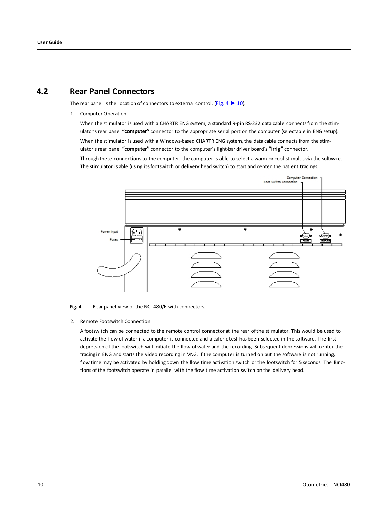### **4.2 Rear Panel Connectors**

<span id="page-9-0"></span>The rear panel is the location of connectors to external control. ([Fig.](#page-9-1)  $4 \triangleright 10$ ).

1. Computer Operation

When the stimulator is used with a CHARTR ENG system, a standard 9-pin RS-232 data cable connects from the stimulator'srear panel **"computer"** connector to the appropriate serial port on the computer (selectable in ENG setup). When the stimulator is used with a Windows-based CHARTR ENG system, the data cable connects from the stimulator'srear panel **"computer"** connector to the computer's light-bar driver board's **"irrig"** connector.

Through these connectionsto the computer, the computer is able to select awarm or cool stimulus via the software. The stimulator is able (using itsfootswitch or delivery head switch) to start and center the patient tracings.



<span id="page-9-1"></span>**Fig. 4** Rear panel view of the NCI-480/E with connectors.

2. Remote Footswitch Connection

A footswitch can be connected to the remote control connector at the rear ofthe stimulator. This would be used to activate the flow of water if a computer is connected and a caloric test has been selected in the software. The first depression of the footswitch will initiate the flow of water and the recording. Subsequent depressions will center the tracing in ENG and starts the video recording in VNG. If the computer is turned on but the software is not running, flow time may be activated by holding down the flow time activation switch or the footswitch for 5 seconds. The functions ofthe footswitch operate in parallel with the flow time activation switch on the delivery head.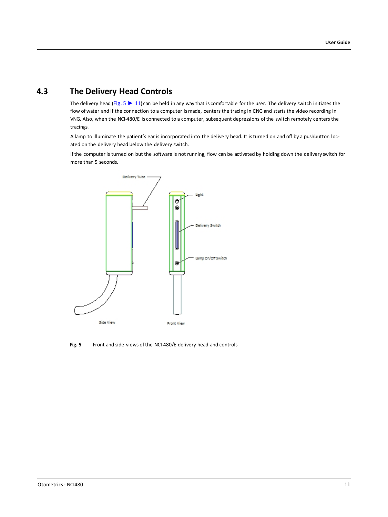### **4.3 The Delivery Head Controls**

The delivery head ([Fig.](#page-10-0) 5  $\blacktriangleright$  11) can be held in any way that is comfortable for the user. The delivery switch initiates the flow of water and if the connection to a computer is made, centers the tracing in ENG and starts the video recording in VNG. Also, when the NCI-480/E is connected to a computer, subsequent depressions ofthe switch remotely centers the tracings.

A lamp to illuminate the patient's ear is incorporated into the delivery head. It isturned on and off by a pushbutton located on the delivery head below the delivery switch.

Ifthe computer is turned on but the software is not running, flow can be activated by holding down the delivery switch for more than 5 seconds.



<span id="page-10-0"></span>**Fig. 5** Front and side views of the NCI-480/E delivery head and controls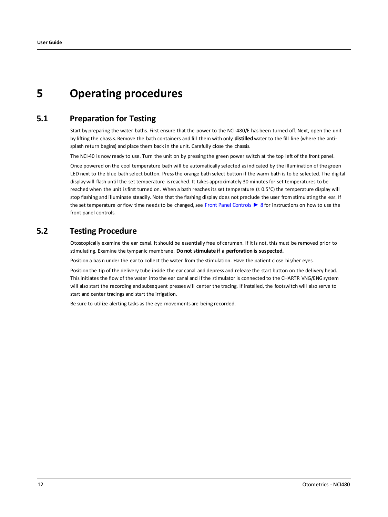## <span id="page-11-0"></span>**5 Operating procedures**

### **5.1 Preparation for Testing**

Start by preparing the water baths. First ensure that the power to the NCI-480/E has been turned off. Next, open the unit by lifting the chassis. Remove the bath containers and fill them with only **distilled** water to the fill line (where the antisplash return begins) and place them back in the unit. Carefully close the chassis.

The NCI-40 is now ready to use. Turn the unit on by pressing the green power switch at the top left of the front panel.

Once powered on the cool temperature bath will be automatically selected asindicated by the illumination of the green LED next to the blue bath select button. Pressthe orange bath select button if the warm bath is to be selected. The digital display will flash until the set temperature isreached. It takes approximately 30 minutes for set temperatures to be reached when the unit is first turned on. When a bath reaches its set temperature  $(\pm 0.5^{\circ}C)$  the temperature display will stop flashing and illuminate steadily. Note that the flashing display does not preclude the user from stimulating the ear. If the set temperature or flow time needs to be changed, see Front Panel [Controls](#page-7-1) ► 8 for instructions on how to use the front panel controls.

### **5.2 Testing Procedure**

Otoscopically examine the ear canal. It should be essentially free of cerumen. If it is not, this must be removed prior to stimulating. Examine the tympanic membrane. **Do not stimulate if a perforation is suspected.**

Position a basin under the ear to collect the water from the stimulation. Have the patient close his/her eyes.

Position the tip of the delivery tube inside the ear canal and depress and release the start button on the delivery head. This initiates the flow of the water into the ear canal and if the stimulator is connected to the CHARTR VNG/ENG system will also start the recording and subsequent presseswill center the tracing. If installed, the footswitch will also serve to start and center tracings and start the irrigation.

Be sure to utilize alerting tasks as the eye movements are being recorded.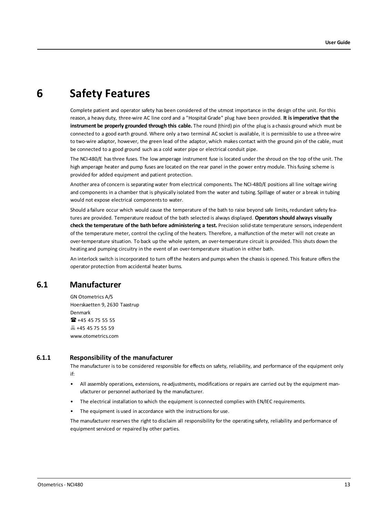## **6 Safety Features**

<span id="page-12-0"></span>Complete patient and operator safety has been considered of the utmost importance in the design ofthe unit. For this reason, a heavy duty, three-wire AC line cord and a "Hospital Grade" plug have been provided. **It isimperative that the instrument be properly grounded through this cable.** The round (third) pin ofthe plug is a chassis ground which must be connected to a good earth ground. Where only a two terminal AC socket is available, it is permissible to use a three-wire to two-wire adaptor, however, the green lead ofthe adaptor, which makes contact with the ground pin of the cable, must be connected to a good ground such as a cold water pipe or electrical conduit pipe.

The NCI-480/E hasthree fuses. The low amperage instrument fuse is located under the shroud on the top ofthe unit. The high amperage heater and pump fuses are located on the rear panel in the power entry module. This fusing scheme is provided for added equipment and patient protection.

Another area of concern is separating water from electrical components. The NCI-480/E positions all line voltage wiring and components in a chamber that is physically isolated from the water and tubing. Spillage of water or a break in tubing would not expose electrical components to water.

Should a failure occur which would cause the temperature of the bath to raise beyond safe limits, redundant safety features are provided. Temperature readout of the bath selected is always displayed. **Operatorsshould always visually check the temperature of the bath before administering a test.** Precision solid-state temperature sensors, independent ofthe temperature meter, control the cycling of the heaters. Therefore, a malfunction of the meter will not create an over-temperature situation. To back up the whole system, an over-temperature circuit is provided. This shuts down the heating and pumping circuitry in the event of an over-temperature situation in either bath.

An interlock switch isincorporated to turn offthe heaters and pumps when the chassis is opened. This feature offers the operator protection from accidental heater burns.

### **6.1 Manufacturer**

GN Otometrics A/S Hoerskaetten 9, 2630 Taastrup Denmark 16 +45 45 75 55 55 **45 45 75 55 59** www.otometrics.com

### **6.1.1 Responsibility of the manufacturer**

The manufacturer is to be considered responsible for effects on safety, reliability, and performance of the equipment only if:

- All assembly operations, extensions, re-adjustments, modifications or repairs are carried out by the equipment manufacturer or personnel authorized by the manufacturer.
- The electrical installation to which the equipment is connected complies with EN/IEC requirements.
- The equipment is used in accordance with the instructions for use.

The manufacturer reserves the right to disclaim all responsibility for the operating safety, reliability and performance of equipment serviced or repaired by other parties.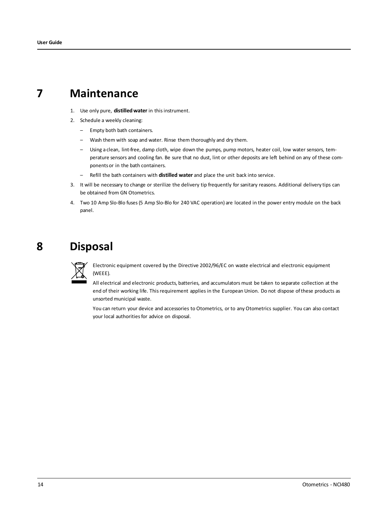## **7 Maintenance**

- <span id="page-13-0"></span>1. Use only pure, **distilledwater** in thisinstrument.
- 2. Schedule a weekly cleaning:
	- Empty both bath containers.
	- Wash them with soap and water. Rinse them thoroughly and dry them.
	- Using a clean, lint-free, damp cloth, wipe down the pumps, pump motors, heater coil, low water sensors, temperature sensors and cooling fan. Be sure that no dust, lint or other deposits are left behind on any of these componentsor in the bath containers.
	- Refill the bath containers with **distilled water** and place the unit back into service.
- 3. It will be necessary to change or sterilize the delivery tip frequently for sanitary reasons. Additional delivery tips can be obtained from GN Otometrics.
- <span id="page-13-1"></span>4. Two 10 Amp Slo-Blo fuses(5 Amp Slo-Blo for 240 VAC operation) are located in the power entry module on the back panel.

## **8 Disposal**



Electronic equipment covered by the Directive 2002/96/EC on waste electrical and electronic equipment (WEEE).

All electrical and electronic products, batteries, and accumulators must be taken to separate collection at the end of their working life. Thisrequirement applies in the European Union. Do not dispose ofthese products as unsorted municipal waste.

You can return your device and accessories to Otometrics, or to any Otometrics supplier. You can also contact your local authorities for advice on disposal.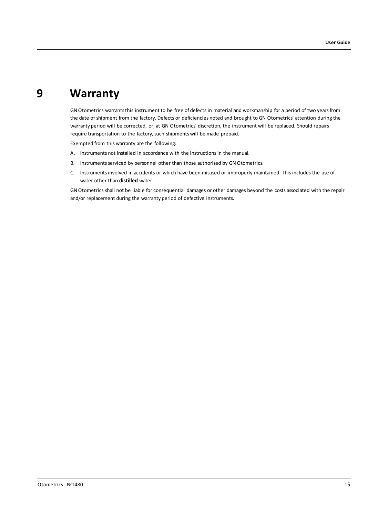## **9 Warranty**

<span id="page-14-0"></span>GN Otometrics warrants this instrument to be free of defects in material and workmanship for a period of two years from the date of shipment from the factory. Defects or deficiencies noted and brought to GN Otometrics' attention during the warranty period will be corrected, or, at GN Otometrics' discretion, the instrument will be replaced. Should repairs require transportation to the factory, such shipments will be made prepaid.

Exempted from this warranty are the following:

- A. Instruments not installed in accordance with the instructions in the manual.
- B. Instruments serviced by personnel other than those authorized by GN Otometrics.
- C. Instrumentsinvolved in accidents or which have been misused or improperly maintained. Thisincludes the use of water other than **distilled** water.

GN Otometrics shall not be liable for consequential damages or other damages beyond the costs associated with the repair and/or replacement during the warranty period of defective instruments.